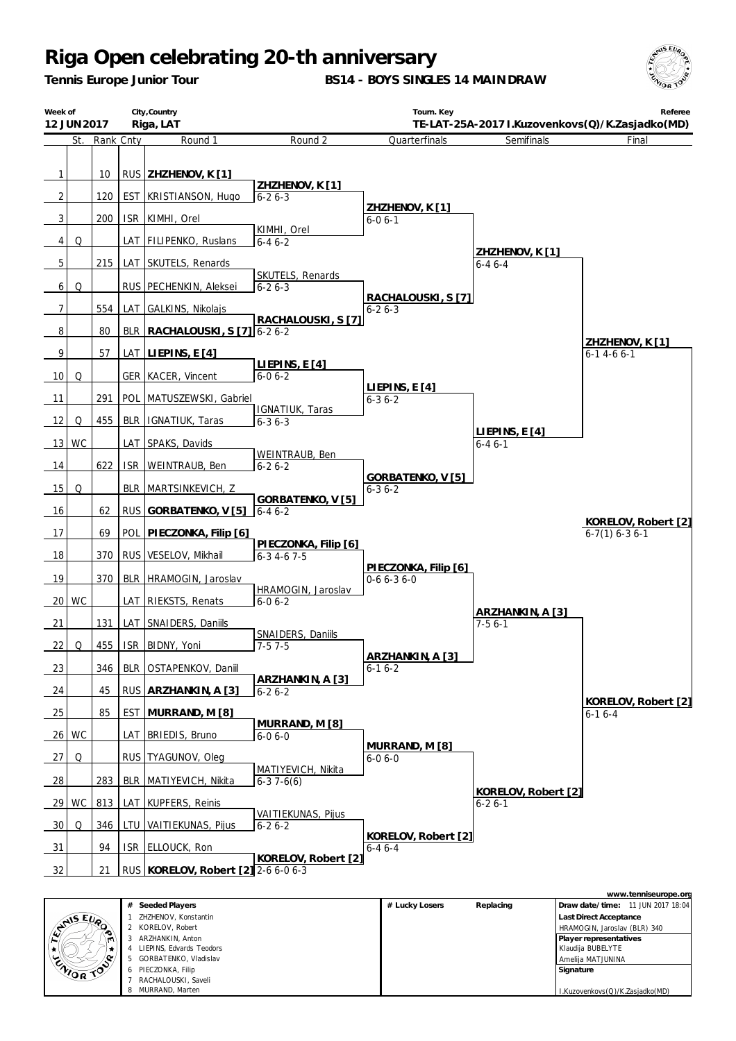*Tennis Europe Junior Tour*

**BS14 - BOYS SINGLES 14 MAINDRAW**



| Week of        | 12 JUN 2017 |               |            | City, Country<br>Riga, LAT               |                                         | Tourn. Key                          |                                     | Referee<br>TE-LAT-25A-2017 I.Kuzovenkovs(Q)/K.Zasjadko(MD) |
|----------------|-------------|---------------|------------|------------------------------------------|-----------------------------------------|-------------------------------------|-------------------------------------|------------------------------------------------------------|
|                |             | St. Rank Cnty |            | Round 1                                  | Round <sub>2</sub>                      | Quarterfinals                       | Semifinals                          | Final                                                      |
| 1              |             | 10            |            | RUS ZHZHENOV, K [1]                      | ZHZHENOV, K[1]                          |                                     |                                     |                                                            |
| $\overline{2}$ |             | 120           |            | EST   KRISTIANSON, Hugo                  | $6 - 26 - 3$                            |                                     |                                     |                                                            |
| 3 <sup>1</sup> |             | 200           |            | ISR KIMHI, Orel                          |                                         | ZHZHENOV, K[1]<br>$6 - 06 - 1$      |                                     |                                                            |
| $\vert$        | Q           |               |            | LAT FILIPENKO, Ruslans                   | KIMHI, Orel<br>$6 - 46 - 2$             |                                     |                                     |                                                            |
| 5              |             | 215           |            | LAT SKUTELS, Renards                     |                                         |                                     | ZHZHENOV, K[1]<br>$6 - 46 - 4$      |                                                            |
| 6              | Q           |               |            | RUS PECHENKIN, Aleksei                   | <b>SKUTELS, Renards</b><br>$6 - 26 - 3$ | RACHALOUSKI, S [7]                  |                                     |                                                            |
| 7              |             | 554           |            | LAT GALKINS, Nikolajs                    |                                         | $6 - 26 - 3$                        |                                     |                                                            |
| 8              |             | 80            |            | BLR   RACHALOUSKI, S [7] 6-2 6-2         | RACHALOUSKI, S [7]                      |                                     |                                     |                                                            |
| 9              |             | 57            |            | LAT LIEPINS, E [4]                       |                                         |                                     |                                     | ZHZHENOV, K [1]<br>$6 - 14 - 66 - 1$                       |
| 10             | Q           |               |            | <b>GER KACER, Vincent</b>                | LIEPINS, $E[4]$<br>$6 - 06 - 2$         |                                     |                                     |                                                            |
| -11            |             | 291           | POL I      | MATUSZEWSKI, Gabriel                     |                                         | LIEPINS, E [4]<br>$6 - 36 - 2$      |                                     |                                                            |
| 12             | Q           | 455           | <b>BLR</b> |                                          | IGNATIUK, Taras                         |                                     |                                     |                                                            |
|                | 13 WC       |               | LAT        | IGNATIUK, Taras<br>SPAKS, Davids         | $6 - 36 - 3$                            |                                     | LIEPINS, E [4]<br>$6 - 46 - 1$      |                                                            |
|                |             | 622           |            |                                          | WEINTRAUB, Ben                          |                                     |                                     |                                                            |
| 14<br>15       | Q           |               | <b>ISR</b> | WEINTRAUB, Ben<br>BLR   MARTSINKEVICH, Z | $6 - 26 - 2$                            | GORBATENKO, V [5]                   |                                     |                                                            |
| 16             |             | 62            | <b>RUS</b> | GORBATENKO, V [5]                        | GORBATENKO, V [5]<br>$6 - 46 - 2$       | $6 - 36 - 2$                        |                                     |                                                            |
|                |             |               |            |                                          |                                         |                                     |                                     | KORELOV, Robert [2]                                        |
| 17             |             | 69            | POL        | PIECZONKA, Filip [6]                     | PIECZONKA, Filip [6]                    |                                     |                                     | $6-7(1)$ 6-3 6-1                                           |
| 18             |             | 370           | <b>RUS</b> | VESELOV, Mikhail                         | $6 - 3$ 4 - 6 7 - 5                     |                                     |                                     |                                                            |
| 19             |             | 370           |            | BLR HRAMOGIN, Jaroslav                   | HRAMOGIN, Jaroslav                      | PIECZONKA, Filip [6]<br>$0-66-36-0$ |                                     |                                                            |
|                | 20 WC       |               |            | LAT RIEKSTS, Renats                      | $6 - 06 - 2$                            |                                     |                                     |                                                            |
| 21             |             | 131           | LAT I      | SNAIDERS, Daniils                        |                                         |                                     | ARZHANKIN, A [3]<br>$7-56-1$        |                                                            |
| 22             | Q           | 455           |            | ISR BIDNY, Yoni                          | SNAIDERS, Daniils<br>$7-57-5$           |                                     |                                     |                                                            |
| 23             |             | 346           |            | BLR   OSTAPENKOV, Daniil                 |                                         | ARZHANKIN, A [3]<br>$6 - 16 - 2$    |                                     |                                                            |
| 24             |             | 45            |            | RUS ARZHANKIN, A [3]                     | ARZHANKIN, A [3]<br>$6 - 26 - 2$        |                                     |                                     |                                                            |
| 25             |             | 85            |            | EST MURRAND, M [8]                       |                                         |                                     |                                     | KORELOV, Robert [2]<br>$6-16-4$                            |
| 26             | WC          |               |            | LAT BRIEDIS, Bruno                       | MURRAND, M [8]<br>$6 - 06 - 0$          |                                     |                                     |                                                            |
| 27             | Q           |               |            | RUS TYAGUNOV, Oleg                       |                                         | MURRAND, M [8]<br>$6 - 06 - 0$      |                                     |                                                            |
| $\frac{28}{ }$ |             | 283           | <b>BLR</b> | MATIYEVICH, Nikita                       | MATIYEVICH, Nikita<br>$6-37-6(6)$       |                                     |                                     |                                                            |
| 29             | WC          | 813           |            | LAT KUPFERS, Reinis                      |                                         |                                     | KORELOV, Robert [2]<br>$6 - 26 - 1$ |                                                            |
| 30             | Q           | 346           | LTU        | VAITIEKUNAS, Pijus                       | VAITIEKUNAS, Pijus<br>$6 - 26 - 2$      |                                     |                                     |                                                            |
| 31             |             | 94            | <b>ISR</b> | ELLOUCK, Ron                             |                                         | KORELOV, Robert [2]<br>$6 - 46 - 4$ |                                     |                                                            |
|                |             |               |            |                                          | KORELOV, Robert [2]                     |                                     |                                     |                                                            |
| 32             |             | 21            |            | RUS   KORELOV, Robert [2] 2-6 6-0 6-3    |                                         |                                     |                                     |                                                            |
|                |             |               |            |                                          |                                         |                                     |                                     | www.tenniseurone.org                                       |

|                     |   |                          |                |           | www.teriniseurope.org             |
|---------------------|---|--------------------------|----------------|-----------|-----------------------------------|
|                     | # | Seeded Players           | # Lucky Losers | Replacing | Draw date/time: 11 JUN 2017 18:04 |
|                     |   | ZHZHENOV, Konstantin     |                |           | <b>Last Direct Acceptance</b>     |
| <b>RAISEUR</b><br>∼ |   | KORELOV, Robert          |                |           | HRAMOGIN, Jaroslav (BLR) 340      |
| m                   |   | ARZHANKIN, Anton         |                |           | Player representatives            |
|                     |   | LIEPINS, Edvards Teodors |                |           | Klaudija BUBELYTE                 |
| ENIOR TOP           | 5 | GORBATENKO, Vladislav    |                |           | Ameliia MATJUNINA                 |
|                     |   | 6 PIECZONKA, Filip       |                |           | Signature                         |
|                     |   | RACHALOUSKI, Saveli      |                |           |                                   |
|                     | 8 | MURRAND, Marten          |                |           | I.Kuzovenkovs(Q)/K.Zasjadko(MD)   |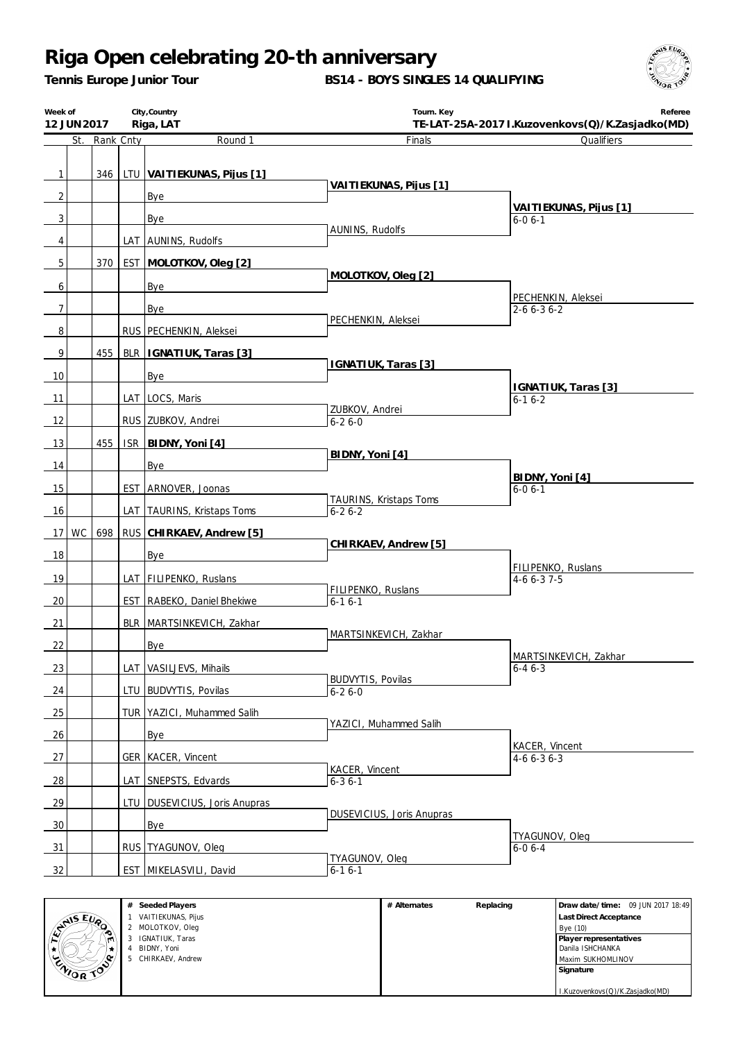*Tennis Europe Junior Tour*

**BS14 - BOYS SINGLES 14 QUALIFYING**



| Round 1<br>Finals<br>Qualifiers<br>St.<br>Rank Cnty<br>$\mathbf{1}$<br>346<br>LTU VAITIEKUNAS, Pijus [1]<br>VAITIEKUNAS, Pijus [1]<br>2<br>Bye<br>VAITIEKUNAS, Pijus [1]<br>3<br>Bye<br>$6 - 06 - 1$<br>AUNINS, Rudolfs<br>4<br>LAT AUNINS, Rudolfs<br>5<br>370<br>EST MOLOTKOV, Oleg [2]<br>MOLOTKOV, Oleg [2]<br>Bye<br>6<br>PECHENKIN, Aleksei<br>7<br>2-6 6-3 6-2<br>Bye<br>PECHENKIN, Aleksei<br>8<br>RUS PECHENKIN, Aleksei<br>9<br>455<br>BLR   IGNATIUK, Taras [3]<br>IGNATIUK, Taras [3]<br>10<br>Bye<br>IGNATIUK, Taras [3]<br>LAT LOCS, Maris<br>11<br>$6 - 16 - 2$<br>ZUBKOV, Andrei<br>12<br>RUS ZUBKOV, Andrei<br>$6 - 26 - 0$<br>13<br>455<br><b>ISR</b><br>BIDNY, Yoni [4]<br>BIDNY, Yoni [4]<br>14<br><b>Bye</b><br>BIDNY, Yoni [4]<br>15<br>EST ARNOVER, Joonas<br>$6 - 06 - 1$<br>TAURINS, Kristaps Toms<br>16<br>LAT TAURINS, Kristaps Toms<br>$6 - 26 - 2$<br>17 WC<br>698<br>RUS CHIRKAEV, Andrew [5]<br>CHIRKAEV, Andrew [5]<br>18<br>Bye<br>FILIPENKO, Ruslans<br>19<br>LAT FILIPENKO, Ruslans<br>$4-66-37-5$<br>FILIPENKO, Ruslans<br>20<br>EST RABEKO, Daniel Bhekiwe<br>$6-16-1$<br>21<br>BLR MARTSINKEVICH, Zakhar<br>MARTSINKEVICH, Zakhar<br>22<br>Bye<br>MARTSINKEVICH, Zakhar<br>LAT VASILJEVS, Mihails<br>23<br>$6 - 46 - 3$<br><b>BUDVYTIS, Povilas</b><br>24<br>LTU BUDVYTIS, Povilas<br>$6 - 26 - 0$<br>25<br>TUR   YAZICI, Muhammed Salih<br>YAZICI, Muhammed Salih<br>26<br>Bye<br>KACER, Vincent<br>27<br>GER   KACER, Vincent<br>$4-66-36-3$<br>KACER, Vincent<br>$\frac{28}{ }$<br>LAT SNEPSTS, Edvards<br>$6 - 36 - 1$<br>29<br>LTU   DUSEVICIUS, Joris Anupras<br>DUSEVICIUS, Joris Anupras<br>30<br>Bye<br>TYAGUNOV, Oleg<br>RUS TYAGUNOV, Oleg<br>$\frac{31}{2}$<br>$6 - 06 - 4$<br>TYAGUNOV, Oleq<br>32<br>EST MIKELASVILI, David<br>$6 - 16 - 1$ | City, Country<br>Week of<br>12 JUN 2017<br>Riga, LAT |  |  |  |  | Tourn. Key<br>Referee<br>TE-LAT-25A-2017 I.Kuzovenkovs(Q)/K.Zasjadko(MD) |  |  |  |  |
|-------------------------------------------------------------------------------------------------------------------------------------------------------------------------------------------------------------------------------------------------------------------------------------------------------------------------------------------------------------------------------------------------------------------------------------------------------------------------------------------------------------------------------------------------------------------------------------------------------------------------------------------------------------------------------------------------------------------------------------------------------------------------------------------------------------------------------------------------------------------------------------------------------------------------------------------------------------------------------------------------------------------------------------------------------------------------------------------------------------------------------------------------------------------------------------------------------------------------------------------------------------------------------------------------------------------------------------------------------------------------------------------------------------------------------------------------------------------------------------------------------------------------------------------------------------------------------------------------------------------------------------------------------------------------------------------------------------------------------------------------------------------------------------------------|------------------------------------------------------|--|--|--|--|--------------------------------------------------------------------------|--|--|--|--|
|                                                                                                                                                                                                                                                                                                                                                                                                                                                                                                                                                                                                                                                                                                                                                                                                                                                                                                                                                                                                                                                                                                                                                                                                                                                                                                                                                                                                                                                                                                                                                                                                                                                                                                                                                                                                 |                                                      |  |  |  |  |                                                                          |  |  |  |  |
|                                                                                                                                                                                                                                                                                                                                                                                                                                                                                                                                                                                                                                                                                                                                                                                                                                                                                                                                                                                                                                                                                                                                                                                                                                                                                                                                                                                                                                                                                                                                                                                                                                                                                                                                                                                                 |                                                      |  |  |  |  |                                                                          |  |  |  |  |
|                                                                                                                                                                                                                                                                                                                                                                                                                                                                                                                                                                                                                                                                                                                                                                                                                                                                                                                                                                                                                                                                                                                                                                                                                                                                                                                                                                                                                                                                                                                                                                                                                                                                                                                                                                                                 |                                                      |  |  |  |  |                                                                          |  |  |  |  |
|                                                                                                                                                                                                                                                                                                                                                                                                                                                                                                                                                                                                                                                                                                                                                                                                                                                                                                                                                                                                                                                                                                                                                                                                                                                                                                                                                                                                                                                                                                                                                                                                                                                                                                                                                                                                 |                                                      |  |  |  |  |                                                                          |  |  |  |  |
|                                                                                                                                                                                                                                                                                                                                                                                                                                                                                                                                                                                                                                                                                                                                                                                                                                                                                                                                                                                                                                                                                                                                                                                                                                                                                                                                                                                                                                                                                                                                                                                                                                                                                                                                                                                                 |                                                      |  |  |  |  |                                                                          |  |  |  |  |
|                                                                                                                                                                                                                                                                                                                                                                                                                                                                                                                                                                                                                                                                                                                                                                                                                                                                                                                                                                                                                                                                                                                                                                                                                                                                                                                                                                                                                                                                                                                                                                                                                                                                                                                                                                                                 |                                                      |  |  |  |  |                                                                          |  |  |  |  |
|                                                                                                                                                                                                                                                                                                                                                                                                                                                                                                                                                                                                                                                                                                                                                                                                                                                                                                                                                                                                                                                                                                                                                                                                                                                                                                                                                                                                                                                                                                                                                                                                                                                                                                                                                                                                 |                                                      |  |  |  |  |                                                                          |  |  |  |  |
|                                                                                                                                                                                                                                                                                                                                                                                                                                                                                                                                                                                                                                                                                                                                                                                                                                                                                                                                                                                                                                                                                                                                                                                                                                                                                                                                                                                                                                                                                                                                                                                                                                                                                                                                                                                                 |                                                      |  |  |  |  |                                                                          |  |  |  |  |
|                                                                                                                                                                                                                                                                                                                                                                                                                                                                                                                                                                                                                                                                                                                                                                                                                                                                                                                                                                                                                                                                                                                                                                                                                                                                                                                                                                                                                                                                                                                                                                                                                                                                                                                                                                                                 |                                                      |  |  |  |  |                                                                          |  |  |  |  |
|                                                                                                                                                                                                                                                                                                                                                                                                                                                                                                                                                                                                                                                                                                                                                                                                                                                                                                                                                                                                                                                                                                                                                                                                                                                                                                                                                                                                                                                                                                                                                                                                                                                                                                                                                                                                 |                                                      |  |  |  |  |                                                                          |  |  |  |  |
|                                                                                                                                                                                                                                                                                                                                                                                                                                                                                                                                                                                                                                                                                                                                                                                                                                                                                                                                                                                                                                                                                                                                                                                                                                                                                                                                                                                                                                                                                                                                                                                                                                                                                                                                                                                                 |                                                      |  |  |  |  |                                                                          |  |  |  |  |
|                                                                                                                                                                                                                                                                                                                                                                                                                                                                                                                                                                                                                                                                                                                                                                                                                                                                                                                                                                                                                                                                                                                                                                                                                                                                                                                                                                                                                                                                                                                                                                                                                                                                                                                                                                                                 |                                                      |  |  |  |  |                                                                          |  |  |  |  |
|                                                                                                                                                                                                                                                                                                                                                                                                                                                                                                                                                                                                                                                                                                                                                                                                                                                                                                                                                                                                                                                                                                                                                                                                                                                                                                                                                                                                                                                                                                                                                                                                                                                                                                                                                                                                 |                                                      |  |  |  |  |                                                                          |  |  |  |  |
|                                                                                                                                                                                                                                                                                                                                                                                                                                                                                                                                                                                                                                                                                                                                                                                                                                                                                                                                                                                                                                                                                                                                                                                                                                                                                                                                                                                                                                                                                                                                                                                                                                                                                                                                                                                                 |                                                      |  |  |  |  |                                                                          |  |  |  |  |
|                                                                                                                                                                                                                                                                                                                                                                                                                                                                                                                                                                                                                                                                                                                                                                                                                                                                                                                                                                                                                                                                                                                                                                                                                                                                                                                                                                                                                                                                                                                                                                                                                                                                                                                                                                                                 |                                                      |  |  |  |  |                                                                          |  |  |  |  |
|                                                                                                                                                                                                                                                                                                                                                                                                                                                                                                                                                                                                                                                                                                                                                                                                                                                                                                                                                                                                                                                                                                                                                                                                                                                                                                                                                                                                                                                                                                                                                                                                                                                                                                                                                                                                 |                                                      |  |  |  |  |                                                                          |  |  |  |  |
|                                                                                                                                                                                                                                                                                                                                                                                                                                                                                                                                                                                                                                                                                                                                                                                                                                                                                                                                                                                                                                                                                                                                                                                                                                                                                                                                                                                                                                                                                                                                                                                                                                                                                                                                                                                                 |                                                      |  |  |  |  |                                                                          |  |  |  |  |
|                                                                                                                                                                                                                                                                                                                                                                                                                                                                                                                                                                                                                                                                                                                                                                                                                                                                                                                                                                                                                                                                                                                                                                                                                                                                                                                                                                                                                                                                                                                                                                                                                                                                                                                                                                                                 |                                                      |  |  |  |  |                                                                          |  |  |  |  |
|                                                                                                                                                                                                                                                                                                                                                                                                                                                                                                                                                                                                                                                                                                                                                                                                                                                                                                                                                                                                                                                                                                                                                                                                                                                                                                                                                                                                                                                                                                                                                                                                                                                                                                                                                                                                 |                                                      |  |  |  |  |                                                                          |  |  |  |  |
|                                                                                                                                                                                                                                                                                                                                                                                                                                                                                                                                                                                                                                                                                                                                                                                                                                                                                                                                                                                                                                                                                                                                                                                                                                                                                                                                                                                                                                                                                                                                                                                                                                                                                                                                                                                                 |                                                      |  |  |  |  |                                                                          |  |  |  |  |
|                                                                                                                                                                                                                                                                                                                                                                                                                                                                                                                                                                                                                                                                                                                                                                                                                                                                                                                                                                                                                                                                                                                                                                                                                                                                                                                                                                                                                                                                                                                                                                                                                                                                                                                                                                                                 |                                                      |  |  |  |  |                                                                          |  |  |  |  |
|                                                                                                                                                                                                                                                                                                                                                                                                                                                                                                                                                                                                                                                                                                                                                                                                                                                                                                                                                                                                                                                                                                                                                                                                                                                                                                                                                                                                                                                                                                                                                                                                                                                                                                                                                                                                 |                                                      |  |  |  |  |                                                                          |  |  |  |  |
|                                                                                                                                                                                                                                                                                                                                                                                                                                                                                                                                                                                                                                                                                                                                                                                                                                                                                                                                                                                                                                                                                                                                                                                                                                                                                                                                                                                                                                                                                                                                                                                                                                                                                                                                                                                                 |                                                      |  |  |  |  |                                                                          |  |  |  |  |
|                                                                                                                                                                                                                                                                                                                                                                                                                                                                                                                                                                                                                                                                                                                                                                                                                                                                                                                                                                                                                                                                                                                                                                                                                                                                                                                                                                                                                                                                                                                                                                                                                                                                                                                                                                                                 |                                                      |  |  |  |  |                                                                          |  |  |  |  |
|                                                                                                                                                                                                                                                                                                                                                                                                                                                                                                                                                                                                                                                                                                                                                                                                                                                                                                                                                                                                                                                                                                                                                                                                                                                                                                                                                                                                                                                                                                                                                                                                                                                                                                                                                                                                 |                                                      |  |  |  |  |                                                                          |  |  |  |  |
|                                                                                                                                                                                                                                                                                                                                                                                                                                                                                                                                                                                                                                                                                                                                                                                                                                                                                                                                                                                                                                                                                                                                                                                                                                                                                                                                                                                                                                                                                                                                                                                                                                                                                                                                                                                                 |                                                      |  |  |  |  |                                                                          |  |  |  |  |
|                                                                                                                                                                                                                                                                                                                                                                                                                                                                                                                                                                                                                                                                                                                                                                                                                                                                                                                                                                                                                                                                                                                                                                                                                                                                                                                                                                                                                                                                                                                                                                                                                                                                                                                                                                                                 |                                                      |  |  |  |  |                                                                          |  |  |  |  |
|                                                                                                                                                                                                                                                                                                                                                                                                                                                                                                                                                                                                                                                                                                                                                                                                                                                                                                                                                                                                                                                                                                                                                                                                                                                                                                                                                                                                                                                                                                                                                                                                                                                                                                                                                                                                 |                                                      |  |  |  |  |                                                                          |  |  |  |  |
|                                                                                                                                                                                                                                                                                                                                                                                                                                                                                                                                                                                                                                                                                                                                                                                                                                                                                                                                                                                                                                                                                                                                                                                                                                                                                                                                                                                                                                                                                                                                                                                                                                                                                                                                                                                                 |                                                      |  |  |  |  |                                                                          |  |  |  |  |
|                                                                                                                                                                                                                                                                                                                                                                                                                                                                                                                                                                                                                                                                                                                                                                                                                                                                                                                                                                                                                                                                                                                                                                                                                                                                                                                                                                                                                                                                                                                                                                                                                                                                                                                                                                                                 |                                                      |  |  |  |  |                                                                          |  |  |  |  |
|                                                                                                                                                                                                                                                                                                                                                                                                                                                                                                                                                                                                                                                                                                                                                                                                                                                                                                                                                                                                                                                                                                                                                                                                                                                                                                                                                                                                                                                                                                                                                                                                                                                                                                                                                                                                 |                                                      |  |  |  |  |                                                                          |  |  |  |  |
|                                                                                                                                                                                                                                                                                                                                                                                                                                                                                                                                                                                                                                                                                                                                                                                                                                                                                                                                                                                                                                                                                                                                                                                                                                                                                                                                                                                                                                                                                                                                                                                                                                                                                                                                                                                                 |                                                      |  |  |  |  |                                                                          |  |  |  |  |
|                                                                                                                                                                                                                                                                                                                                                                                                                                                                                                                                                                                                                                                                                                                                                                                                                                                                                                                                                                                                                                                                                                                                                                                                                                                                                                                                                                                                                                                                                                                                                                                                                                                                                                                                                                                                 |                                                      |  |  |  |  |                                                                          |  |  |  |  |
|                                                                                                                                                                                                                                                                                                                                                                                                                                                                                                                                                                                                                                                                                                                                                                                                                                                                                                                                                                                                                                                                                                                                                                                                                                                                                                                                                                                                                                                                                                                                                                                                                                                                                                                                                                                                 |                                                      |  |  |  |  |                                                                          |  |  |  |  |
|                                                                                                                                                                                                                                                                                                                                                                                                                                                                                                                                                                                                                                                                                                                                                                                                                                                                                                                                                                                                                                                                                                                                                                                                                                                                                                                                                                                                                                                                                                                                                                                                                                                                                                                                                                                                 |                                                      |  |  |  |  |                                                                          |  |  |  |  |
|                                                                                                                                                                                                                                                                                                                                                                                                                                                                                                                                                                                                                                                                                                                                                                                                                                                                                                                                                                                                                                                                                                                                                                                                                                                                                                                                                                                                                                                                                                                                                                                                                                                                                                                                                                                                 |                                                      |  |  |  |  |                                                                          |  |  |  |  |



| # Alternates | Replacing | Draw date/time: 09 JUN 2017 18:49 |
|--------------|-----------|-----------------------------------|
|              |           | <b>Last Direct Acceptance</b>     |
|              |           | Bye (10)                          |
|              |           | Player representatives            |
|              |           | Danila ISHCHANKA                  |
|              |           | Maxim SUKHOMLINOV                 |
|              |           | Signature                         |
|              |           |                                   |
|              |           | I.Kuzovenkovs(Q)/K.Zasjadko(MD)   |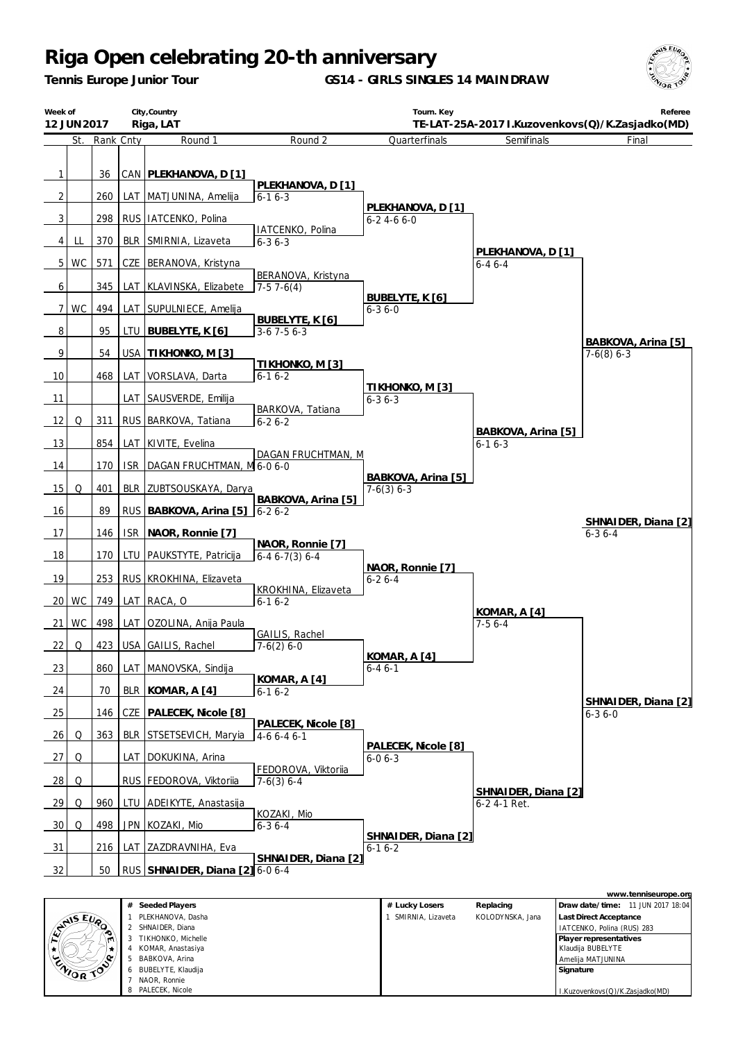*Tennis Europe Junior Tour*

**GS14 - GIRLS SINGLES 14 MAINDRAW**





|          | <b>EVALUE EVA</b> | #  | Seeded Players     | # Lucky Losers    | Replacing        | 11 JUN 2017 18:04<br>l Draw date/time: |
|----------|-------------------|----|--------------------|-------------------|------------------|----------------------------------------|
|          |                   |    | PLEKHANOVA, Dasha  | SMIRNIA, Lizaveta | KOLODYNSKA, Jana | <b>Last Direct Acceptance</b>          |
|          |                   |    | SHNAIDER, Diana    |                   |                  | IATCENKO, Polina (RUS) 283             |
|          |                   |    | TIKHONKO, Michelle |                   |                  | Player representatives                 |
|          | ₩.                |    | KOMAR, Anastasiya  |                   |                  | Klaudija BUBELYTE                      |
| ENIOR TO |                   | -5 | BABKOVA, Arina     |                   |                  | Amelija MATJUNINA                      |
|          |                   | 6  | BUBELYTE, Klaudija |                   |                  | Signature                              |
|          |                   |    | NAOR, Ronnie       |                   |                  |                                        |
|          |                   |    | PALECEK, Nicole    |                   |                  | I.Kuzovenkovs(Q)/K.Zasjadko(MD)        |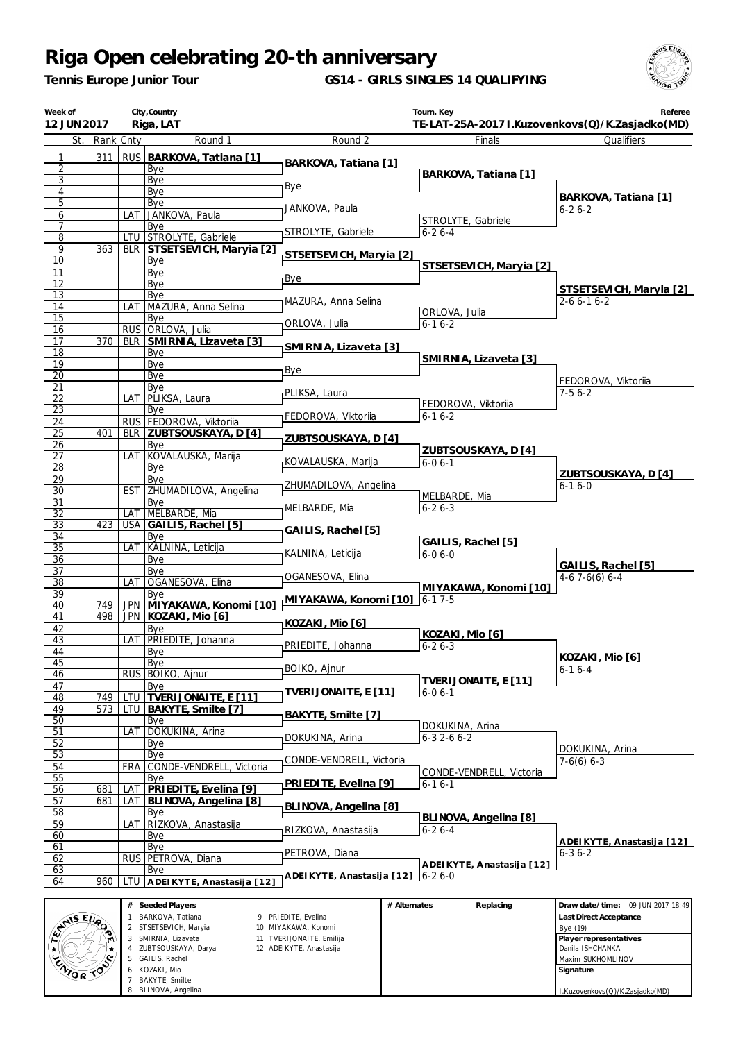*Tennis Europe Junior Tour*

8 BLINOVA, Angelina

**GS14 - GIRLS SINGLES 14 QUALIFYING**



I.Kuzovenkovs(Q)/K.Zasjadko(MD)

| Week of<br>12 JUN 2017   |               |            | City, Country<br>Riga, LAT                |                                            |              | Tourn. Key                | Referee<br>TE-LAT-25A-2017 I.Kuzovenkovs(Q)/K.Zasjadko(MD) |
|--------------------------|---------------|------------|-------------------------------------------|--------------------------------------------|--------------|---------------------------|------------------------------------------------------------|
|                          | St. Rank Cnty |            | Round 1                                   | Round 2                                    |              | Finals                    | Qualifiers                                                 |
| 1                        | 311           |            | RUS BARKOVA, Tatiana [1]                  |                                            |              |                           |                                                            |
| $\overline{2}$           |               |            | Bye                                       | BARKOVA, Tatiana [1]                       |              | BARKOVA, Tatiana [1]      |                                                            |
| 3<br>$\overline{4}$      |               |            | Bye<br>Bye                                | Bye                                        |              |                           |                                                            |
| $\overline{5}$           |               |            | Bye                                       | JANKOVA, Paula                             |              |                           | BARKOVA, Tatiana [1]<br>$6 - 26 - 2$                       |
| 6                        |               |            | LAT JANKOVA, Paula                        |                                            |              | STROLYTE, Gabriele        |                                                            |
| 7<br>8                   |               |            | Bye<br>LTU STROLYTE, Gabriele             | STROLYTE, Gabriele                         |              | $6 - 26 - 4$              |                                                            |
| 9                        | 363           |            | BLR STSETSEVICH, Maryia [2]               | STSETSEVICH, Maryia [2]                    |              |                           |                                                            |
| 10                       |               |            | Bye                                       |                                            |              | STSETSEVICH, Maryia [2]   |                                                            |
| 11<br>12                 |               |            | Bye<br>Bye                                | Bye                                        |              |                           |                                                            |
| 13                       |               |            | Bye                                       | MAZURA, Anna Selina                        |              |                           | STSETSEVICH, Maryia [2]<br>$2 - 6 6 - 1 6 - 2$             |
| 14                       |               |            | LAT MAZURA, Anna Selina                   |                                            |              | ORLOVA, Julia             |                                                            |
| $\overline{15}$<br>16    |               |            | Bye<br>RUS ORLOVA, Julia                  | ORLOVA, Julia                              |              | $6 - 16 - 2$              |                                                            |
| 17                       | 370           |            | BLR SMIRNIA, Lizaveta [3]                 | SMIRNIA, Lizaveta [3]                      |              |                           |                                                            |
| 18                       |               |            | Bye                                       |                                            |              | SMIRNIA, Lizaveta [3]     |                                                            |
| 19<br>20                 |               |            | Bye<br>Bye                                | Bye                                        |              |                           |                                                            |
| 21                       |               |            | Bye                                       | PLIKSA, Laura                              |              |                           | FEDOROVA, Viktoriia<br>$7-56-2$                            |
| 22                       |               | LAT        | PLIKSA, Laura                             |                                            |              | FEDOROVA, Viktoriia       |                                                            |
| 23<br>24                 |               |            | Bye<br>RUS FEDOROVA, Viktoriia            | FEDOROVA, Viktoriia                        |              | $6 - 16 - 2$              |                                                            |
| 25                       | 401           |            | BLR ZUBTSOUSKAYA, D [4]                   |                                            |              |                           |                                                            |
| 26                       |               |            | Bye                                       | ZUBTSOUSKAYA, D [4]                        |              | ZUBTSOUSKAYA, D [4]       |                                                            |
| 27<br>28                 |               | LAT        | KOVALAUSKA, Marija<br>Bye                 | KOVALAUSKA, Marija                         |              | $6 - 06 - 1$              |                                                            |
| 29                       |               |            | Bye                                       |                                            |              |                           | ZUBTSOUSKAYA, D [4]                                        |
| 30                       |               |            | EST ZHUMADILOVA, Angelina                 | ZHUMADILOVA, Angelina                      |              | MELBARDE, Mia             | $6 - 16 - 0$                                               |
| 31<br>32                 |               |            | Bye<br>LAT MELBARDE, Mia                  | MELBARDE, Mia                              |              | $6 - 26 - 3$              |                                                            |
| 33                       | 423           |            | USA GAILIS, Rachel [5]                    |                                            |              |                           |                                                            |
| 34                       |               |            | Bye                                       | GAILIS, Rachel [5]                         |              | GAILIS, Rachel [5]        |                                                            |
| $\overline{35}$<br>36    |               | LAT        | KALNINA, Leticija                         | KALNINA, Leticija                          |              | $6-06-0$                  |                                                            |
| 37                       |               |            | Bye<br>Bye                                |                                            |              |                           | GAILIS, Rachel [5]                                         |
| 38                       |               | LAT        | OGANESOVA, Elina                          | OGANESOVA, Elina                           |              | MIYAKAWA, Konomi [10]     | $4-67-6(6)6-4$                                             |
| 39                       | 749           |            | Bye<br>JPN MIYAKAWA, Konomi [10]          | MIYAKAWA, Konomi [10] 6-17-5               |              |                           |                                                            |
| 40<br>41                 | 498           |            | JPN KOZAKI, Mio [6]                       |                                            |              |                           |                                                            |
| 42                       |               |            | Bye                                       | KOZAKI, Mio [6]                            |              | KOZAKI, Mio [6]           |                                                            |
| 43                       |               | LAT        | PRIEDITE, Johanna                         | PRIEDITE, Johanna                          |              | $6 - 26 - 3$              |                                                            |
| 44<br>45                 |               |            | Bye<br>Bye                                |                                            |              |                           | KOZAKI, Mio [6]                                            |
| 46                       |               |            | RUS BOIKO, Ajnur                          | BOIKO, Ajnur                               |              | TVERIJONAITE, E [11]      | $6 - 16 - 4$                                               |
| 47<br>48                 | 749           | LTU        | Bye<br><b>TVERIJONAITE, E [11]</b>        | TVERIJONAITE, E [11]                       |              | $6 - 06 - 1$              |                                                            |
| 49                       | 573           | LTU        | BAKYTE, Smilte [7]                        |                                            |              |                           |                                                            |
| 50                       |               |            | Bye                                       | BAKYTE, Smilte [7]                         |              | DOKUKINA, Arina           |                                                            |
| 51                       |               | LAT        | DOKUKINA, Arina                           | DOKUKINA, Arina                            |              | $6 - 32 - 66 - 2$         |                                                            |
| 52<br>53                 |               |            | Bye<br>Bye                                |                                            |              |                           | DOKUKINA, Arina                                            |
| 54                       |               | FRA        | CONDE-VENDRELL, Victoria                  | CONDE-VENDRELL, Victoria                   |              | CONDE-VENDRELL, Victoria  | $7-6(6)$ 6-3                                               |
| 55<br>56                 | 681           |            | Bye<br>PRIEDITE, Evelina [9]              | PRIEDITE, Evelina [9]                      |              | $6 - 16 - 1$              |                                                            |
| 57                       | 681           | LAT<br>LAT | BLINOVA, Angelina [8]                     |                                            |              |                           |                                                            |
| 58                       |               |            | Bye                                       | BLINOVA, Angelina [8]                      |              | BLINOVA, Angelina [8]     |                                                            |
| 59                       |               | LAT        | RIZKOVA, Anastasija                       | RIZKOVA, Anastasija                        |              | $6 - 26 - 4$              |                                                            |
| 60<br>61                 |               |            | Bye<br>Bye                                |                                            |              |                           | ADEIKYTE, Anastasija [12]                                  |
| 62                       |               |            | RUS PETROVA, Diana                        | PETROVA, Diana                             |              | ADEIKYTE, Anastasija [12] | $6 - 36 - 2$                                               |
| 63                       |               |            | Bye                                       | ADEIKYTE, Anastasija [12]                  |              | $6 - 26 - 0$              |                                                            |
| 64                       | 960           | LTU        | ADEIKYTE, Anastasija [12]                 |                                            |              |                           |                                                            |
|                          |               |            | # Seeded Players                          |                                            | # Alternates | Replacing                 | Draw date/time: 09 JUN 2017 18:49                          |
|                          |               |            | BARKOVA, Tatiana<br>2 STSETSEVICH, Maryia | 9 PRIEDITE, Evelina<br>10 MIYAKAWA, Konomi |              |                           | Last Direct Acceptance                                     |
| <b>ANSEUR</b><br>$\star$ |               |            | 3 SMIRNIA, Lizaveta                       | 11 TVERIJONAITE, Emilija                   |              |                           | Bye (19)<br>Player representatives                         |
|                          |               |            | ZUBTSOUSKAYA, Darya                       | 12 ADEIKYTE, Anastasija                    |              |                           | Danila ISHCHANKA                                           |
|                          |               | 6          | 5 GAILIS, Rachel<br>KOZAKI, Mio           |                                            |              |                           | Maxim SUKHOMLINOV<br>Signature                             |
| ZNIOR TOP                |               |            | 7 BAKYTE, Smilte                          |                                            |              |                           |                                                            |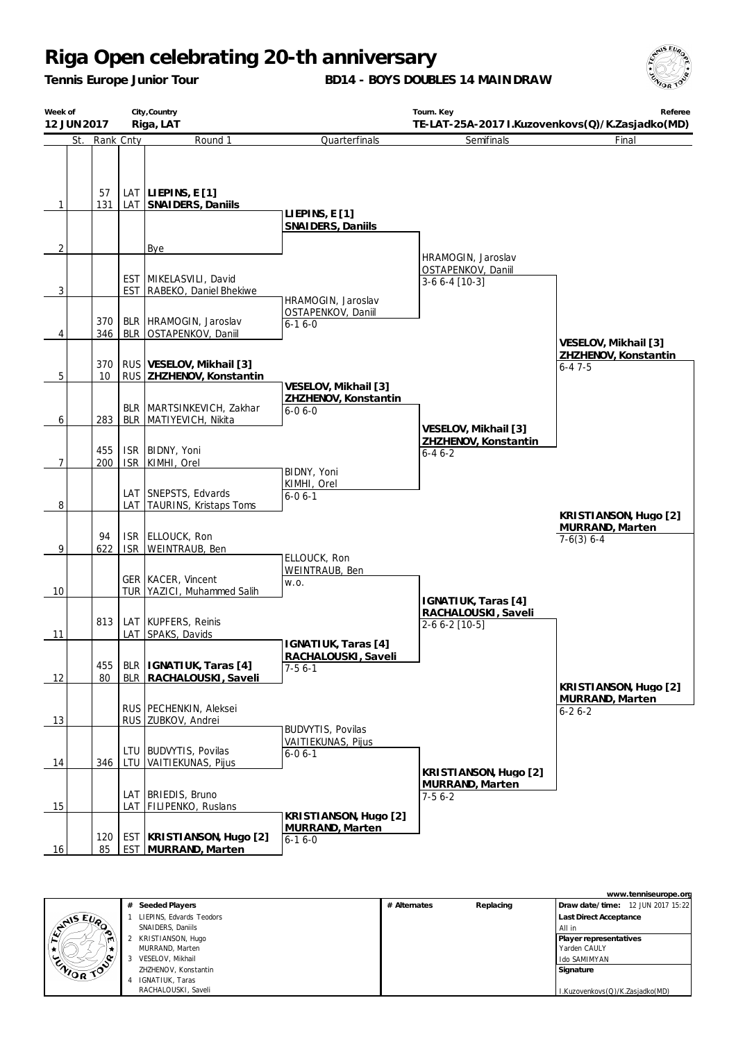*Tennis Europe Junior Tour*

**BD14 - BOYS DOUBLES 14 MAINDRAW**



| Week of        | City, Country<br>12 JUN 2017<br>Riga, LAT |     |                                                    |                                            | Tourn. Key                               | Referee<br>TE-LAT-25A-2017 I.Kuzovenkovs(Q)/K.Zasjadko(MD) |
|----------------|-------------------------------------------|-----|----------------------------------------------------|--------------------------------------------|------------------------------------------|------------------------------------------------------------|
| St.            | Rank Cnty                                 |     | Round 1                                            | Quarterfinals                              | Semifinals                               | Final                                                      |
|                |                                           |     |                                                    |                                            |                                          |                                                            |
|                |                                           |     |                                                    |                                            |                                          |                                                            |
|                | 57<br>131                                 |     | LAT LIEPINS, $E[1]$                                |                                            |                                          |                                                            |
| $\mathbf{1}$   |                                           |     | LAT SNAIDERS, Daniils                              | LIEPINS, $E[1]$                            |                                          |                                                            |
|                |                                           |     |                                                    | SNAIDERS, Daniils                          |                                          |                                                            |
| 2              |                                           |     | Bye                                                |                                            | HRAMOGIN, Jaroslav                       |                                                            |
|                |                                           |     | EST MIKELASVILI, David                             |                                            | OSTAPENKOV, Daniil                       |                                                            |
| $\overline{3}$ |                                           |     | <b>EST RABEKO, Daniel Bhekiwe</b>                  |                                            | $3-66-4$ [10-3]                          |                                                            |
|                |                                           |     |                                                    | HRAMOGIN, Jaroslav<br>OSTAPENKOV, Daniil   |                                          |                                                            |
| 4              | 370<br>346                                |     | BLR   HRAMOGIN, Jaroslav<br>BLR OSTAPENKOV, Daniil | $6-16-0$                                   |                                          |                                                            |
|                |                                           |     |                                                    |                                            |                                          | VESELOV, Mikhail [3]                                       |
|                | 370                                       |     | RUS   VESELOV, Mikhail [3]                         |                                            |                                          | ZHZHENOV, Konstantin<br>$6 - 47 - 5$                       |
| 5              | 10                                        |     | RUS ZHZHENOV, Konstantin                           | VESELOV, Mikhail [3]                       |                                          |                                                            |
|                |                                           |     | BLR   MARTSINKEVICH, Zakhar                        | ZHZHENOV, Konstantin<br>$6 - 06 - 0$       |                                          |                                                            |
| 6              | 283                                       |     | BLR   MATIYEVICH, Nikita                           |                                            | VESELOV, Mikhail [3]                     |                                                            |
|                |                                           |     |                                                    |                                            | ZHZHENOV, Konstantin                     |                                                            |
| 7              | 455<br>200                                |     | ISR BIDNY, Yoni<br>ISR KIMHI, Orel                 |                                            | $6 - 46 - 2$                             |                                                            |
|                |                                           |     |                                                    | BIDNY, Yoni<br>KIMHI, Orel                 |                                          |                                                            |
|                |                                           |     | LAT SNEPSTS, Edvards                               | $6 - 06 - 1$                               |                                          |                                                            |
| 8              |                                           |     | LAT TAURINS, Kristaps Toms                         |                                            |                                          | KRISTIANSON, Hugo [2]                                      |
|                | 94                                        |     | ISR ELLOUCK, Ron                                   |                                            |                                          | MURRAND, Marten<br>$7-6(3)$ 6-4                            |
| 9              | 622                                       |     | ISR   WEINTRAUB, Ben                               | ELLOUCK, Ron                               |                                          |                                                            |
|                |                                           |     | <b>GER   KACER, Vincent</b>                        | WEINTRAUB, Ben                             |                                          |                                                            |
| 10             |                                           |     | TUR YAZICI, Muhammed Salih                         | W.O.                                       | IGNATIUK, Taras [4]                      |                                                            |
|                |                                           |     |                                                    |                                            | RACHALOUSKI, Saveli                      |                                                            |
| 11             | 813                                       | LAT | LAT KUPFERS, Reinis<br>SPAKS, Davids               |                                            | $2-66-2$ [10-5]                          |                                                            |
|                |                                           |     |                                                    | IGNATIUK, Taras [4]<br>RACHALOUSKI, Saveli |                                          |                                                            |
|                | 455                                       |     | BLR   IGNATIUK, Taras [4]                          | $7-56-1$                                   |                                          |                                                            |
| 12             | 80                                        |     | BLR RACHALOUSKI, Saveli                            |                                            |                                          | KRISTIANSON, Hugo [2]                                      |
|                |                                           |     | RUS PECHENKIN, Aleksei                             |                                            |                                          | MURRAND, Marten<br>$6 - 26 - 2$                            |
| 13             |                                           |     | RUS ZUBKOV, Andrei                                 | <b>BUDVYTIS, Povilas</b>                   |                                          |                                                            |
|                |                                           | LTU | <b>BUDVYTIS, Povilas</b>                           | VAITIEKUNAS, Pijus                         |                                          |                                                            |
| 14             | 346                                       |     | LTU VAITIEKUNAS, Pijus                             | $6 - 06 - 1$                               |                                          |                                                            |
|                |                                           |     |                                                    |                                            | KRISTIANSON, Hugo [2]<br>MURRAND, Marten |                                                            |
| 15             |                                           |     | LAT   BRIEDIS, Bruno<br>LAT FILIPENKO, Ruslans     |                                            | $7-56-2$                                 |                                                            |
|                |                                           |     |                                                    | KRISTIANSON, Hugo [2]<br>MURRAND, Marten   |                                          |                                                            |
|                | 120                                       |     | EST KRISTIANSON, Hugo [2]                          | $6 - 16 - 0$                               |                                          |                                                            |
| 16             | 85                                        |     | <b>EST MURRAND, Marten</b>                         |                                            |                                          |                                                            |